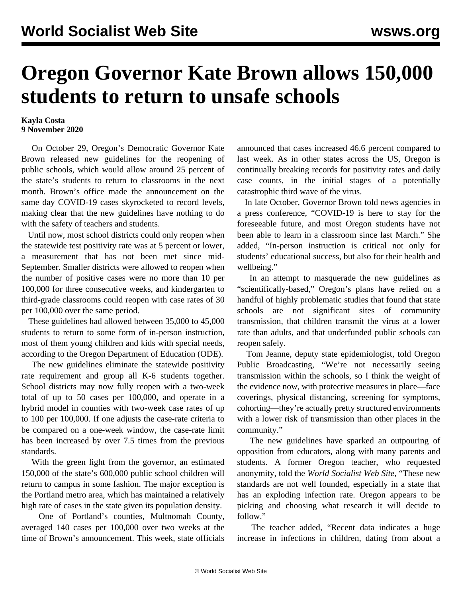## **Oregon Governor Kate Brown allows 150,000 students to return to unsafe schools**

## **Kayla Costa 9 November 2020**

 On October 29, Oregon's Democratic Governor Kate Brown released new guidelines for the reopening of public schools, which would allow around 25 percent of the state's students to return to classrooms in the next month. Brown's office made the announcement on the same day COVID-19 cases skyrocketed to record levels, making clear that the new guidelines have nothing to do with the safety of teachers and students.

 Until now, most school districts could only reopen when the statewide test positivity rate was at 5 percent or lower, a measurement that has not been met since mid-September. Smaller districts were allowed to reopen when the number of positive cases were no more than 10 per 100,000 for three consecutive weeks, and kindergarten to third-grade classrooms could reopen with case rates of 30 per 100,000 over the same period.

 These guidelines had allowed between 35,000 to 45,000 students to return to some form of in-person instruction, most of them young children and kids with special needs, according to the Oregon Department of Education (ODE).

 The new guidelines eliminate the statewide positivity rate requirement and group all K-6 students together. School districts may now fully reopen with a two-week total of up to 50 cases per 100,000, and operate in a hybrid model in counties with two-week case rates of up to 100 per 100,000. If one adjusts the case-rate criteria to be compared on a one-week window, the case-rate limit has been increased by over 7.5 times from the previous standards.

 With the green light from the governor, an estimated 150,000 of the state's 600,000 public school children will return to campus in some fashion. The major exception is the Portland metro area, which has maintained a relatively high rate of cases in the state given its population density.

 One of Portland's counties, Multnomah County, averaged 140 cases per 100,000 over two weeks at the time of Brown's announcement. This week, state officials announced that cases increased 46.6 percent compared to last week. As in other states across the US, Oregon is continually breaking records for positivity rates and daily case counts, in the initial stages of a potentially catastrophic third wave of the virus.

 In late October, Governor Brown told news agencies in a press conference, "COVID-19 is here to stay for the foreseeable future, and most Oregon students have not been able to learn in a classroom since last March." She added, "In-person instruction is critical not only for students' educational success, but also for their health and wellbeing."

 In an attempt to masquerade the new guidelines as "scientifically-based," Oregon's plans have relied on a handful of highly problematic studies that found that state schools are not significant sites of community transmission, that children transmit the virus at a lower rate than adults, and that underfunded public schools can reopen safely.

 Tom Jeanne, deputy state epidemiologist, told Oregon Public Broadcasting, "We're not necessarily seeing transmission within the schools, so I think the weight of the evidence now, with protective measures in place—face coverings, physical distancing, screening for symptoms, cohorting—they're actually pretty structured environments with a lower risk of transmission than other places in the community."

 The new guidelines have sparked an outpouring of opposition from educators, along with many parents and students. A former Oregon teacher, who requested anonymity, told the *World Socialist Web Site*, "These new standards are not well founded, especially in a state that has an exploding infection rate. Oregon appears to be picking and choosing what research it will decide to follow."

 The teacher added, "Recent data indicates a huge increase in infections in children, dating from about a